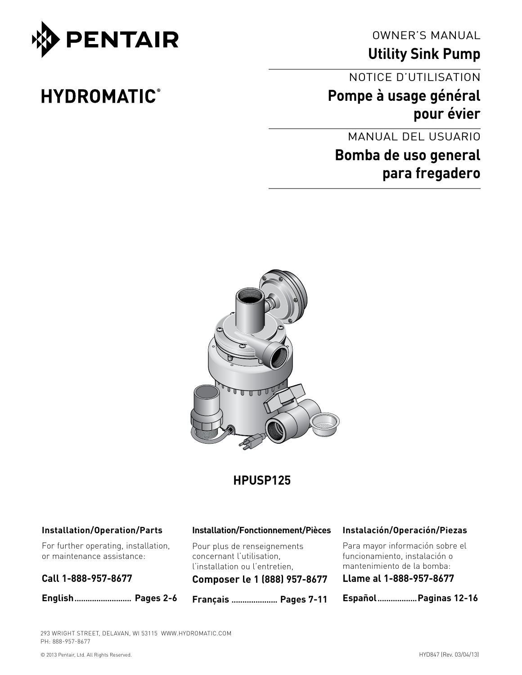

**HYDROMATIC®** 

OWNER'S MANUAL

**Utility Sink Pump**

### NOTICE D'UTILISATION

**Pompe à usage général pour évier** 

MANUAL DEL USUARIO

# **Bomba de uso general para fregadero**



## **HPUSP125**

#### **Installation/Operation/Parts**

For further operating, installation, or maintenance assistance:

#### **Call 1-888-957-8677**

**English.......................... Pages 2-6**

#### **Installation/Fonctionnement/Pièces**

Pour plus de renseignements concernant l'utilisation, l'installation ou l'entretien,

**Composer le 1 (888) 957-8677**

**Français ..................... Pages 7-11**

#### **Instalación/Operación/Piezas**

Para mayor información sobre el funcionamiento, instalación o mantenimiento de la bomba:

**Llame al 1-888-957-8677**

**Español..................Paginas 12-16**

293 WRIGHT STREET, DELAVAN, WI 53115 WWW.HYDROMATIC.COM PH: 888-957-8677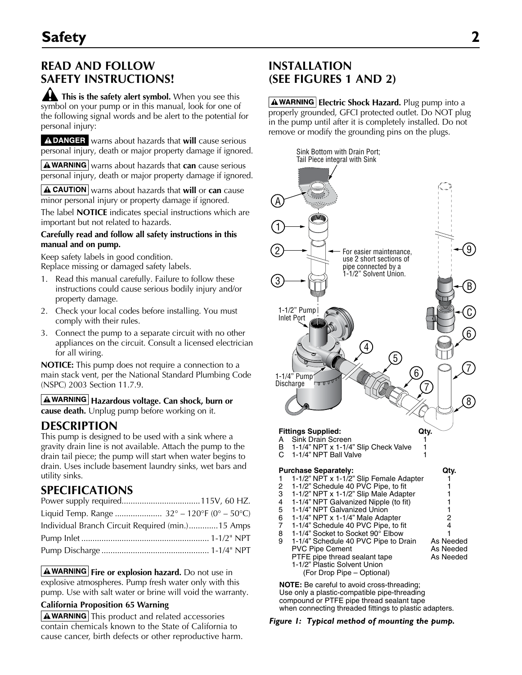### **READ AND FOLLOW SAFETY INSTRUCTIONS!**

**This is the safety alert symbol.** When you see this symbol on your pump or in this manual, look for one of the following signal words and be alert to the potential for personal injury:

A DANGER warns about hazards that will cause serious personal injury, death or major property damage if ignored.

**A WARNING** warns about hazards that **can** cause serious personal injury, death or major property damage if ignored.

**A CAUTION** warns about hazards that **will** or **can** cause minor personal injury or property damage if ignored.

The label **NOTICE** indicates special instructions which are important but not related to hazards.

#### **Carefully read and follow all safety instructions in this manual and on pump.**

Keep safety labels in good condition. Replace missing or damaged safety labels.

- 1. Read this manual carefully. Failure to follow these instructions could cause serious bodily injury and/or property damage.
- 2. Check your local codes before installing. You must comply with their rules.
- 3. Connect the pump to a separate circuit with no other appliances on the circuit. Consult a licensed electrician for all wiring.

**NOTICE:** This pump does not require a connection to a main stack vent, per the National Standard Plumbing Code (NSPC) 2003 Section 11.7.9.

#### **Hazardous voltage. Can shock, burn or cause death.** Unplug pump before working on it.

### **Description**

This pump is designed to be used with a sink where a gravity drain line is not available. Attach the pump to the drain tail piece; the pump will start when water begins to drain. Uses include basement laundry sinks, wet bars and utility sinks.

### **Specifications**

| Liquid Temp. Range $32^{\circ} - 120^{\circ}F (0^{\circ} - 50^{\circ}C)$ |  |
|--------------------------------------------------------------------------|--|
| Individual Branch Circuit Required (min.)15 Amps                         |  |
|                                                                          |  |
|                                                                          |  |

**A WARNING** Fire or explosion hazard. Do not use in explosive atmospheres. Pump fresh water only with this pump. Use with salt water or brine will void the warranty.

#### **California Proposition 65 Warning**

 $\Delta$  WARNING This product and related accessories contain chemicals known to the State of California to cause cancer, birth defects or other reproductive harm.

### **Installation (See Figures 1 and 2)**

**A WARNING** Electric Shock Hazard. Plug pump into a properly grounded, GFCI protected outlet. Do NOT plug in the pump until after it is completely installed. Do not remove or modify the grounding pins on the plugs.



Use only a plastic-compatible pipe-threading compound or PTFE pipe thread sealant tape when connecting threaded fittings to plastic adapters.

#### *Figure 1: Typical method of mounting the pump.*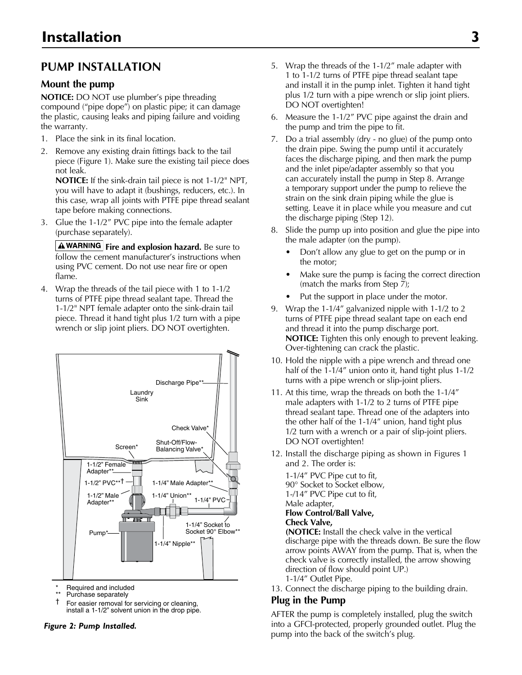### **Pump Installation**

#### **Mount the pump**

**NOTICE:** DO NOT use plumber's pipe threading compound ("pipe dope") on plastic pipe; it can damage the plastic, causing leaks and piping failure and voiding the warranty.

- 1. Place the sink in its final location.
- 2. Remove any existing drain fittings back to the tail piece (Figure 1). Make sure the existing tail piece does not leak.

**NOTICE:** If the sink-drain tail piece is not 1-1/2" NPT, you will have to adapt it (bushings, reducers, etc.). In this case, wrap all joints with PTFE pipe thread sealant tape before making connections.

3. Glue the 1-1/2" PVC pipe into the female adapter (purchase separately).

**A WARNING** Fire and explosion hazard. Be sure to follow the cement manufacturer's instructions when using PVC cement. Do not use near fire or open flame.

4. Wrap the threads of the tail piece with 1 to 1-1/2 turns of PTFE pipe thread sealant tape. Thread the 1-1/2" NPT female adapter onto the sink-drain tail piece. Thread it hand tight plus 1/2 turn with a pipe wrench or slip joint pliers. DO NOT overtighten.



Required and included

- Purchase separately
- † For easier removal for servicing or cleaning, install a 1-1/2" solvent union in the drop pipe.

- 5. Wrap the threads of the 1-1/2" male adapter with 1 to 1-1/2 turns of PTFE pipe thread sealant tape and install it in the pump inlet. Tighten it hand tight plus 1/2 turn with a pipe wrench or slip joint pliers. DO NOT overtighten!
- 6. Measure the 1-1/2" PVC pipe against the drain and the pump and trim the pipe to fit.
- 7. Do a trial assembly (dry no glue) of the pump onto the drain pipe. Swing the pump until it accurately faces the discharge piping, and then mark the pump and the inlet pipe/adapter assembly so that you can accurately install the pump in Step 8. Arrange a temporary support under the pump to relieve the strain on the sink drain piping while the glue is setting. Leave it in place while you measure and cut the discharge piping (Step 12).
- 8. Slide the pump up into position and glue the pipe into the male adapter (on the pump).
	- Don't allow any glue to get on the pump or in the motor;
	- Make sure the pump is facing the correct direction (match the marks from Step 7);
	- Put the support in place under the motor.
- 9. Wrap the 1-1/4" galvanized nipple with 1-1/2 to 2 turns of PTFE pipe thread sealant tape on each end and thread it into the pump discharge port. **NOTICE:** Tighten this only enough to prevent leaking. Over-tightening can crack the plastic.
- 10. Hold the nipple with a pipe wrench and thread one half of the 1-1/4" union onto it, hand tight plus 1-1/2 turns with a pipe wrench or slip-joint pliers.
- 11. At this time, wrap the threads on both the 1-1/4" male adapters with 1-1/2 to 2 turns of PTFE pipe thread sealant tape. Thread one of the adapters into the other half of the 1-1/4" union, hand tight plus 1/2 turn with a wrench or a pair of slip-joint pliers. DO NOT overtighten!
- 12. Install the discharge piping as shown in Figures 1 and 2. The order is:

1-1/4" PVC Pipe cut to fit, 90° Socket to Socket elbow, 1-/14" PVC Pipe cut to fit, Male adapter, **Flow Control/Ball Valve, Check Valve,** 

**(NOTICE:** Install the check valve in the vertical discharge pipe with the threads down. Be sure the flow arrow points AWAY from the pump. That is, when the check valve is correctly installed, the arrow showing direction of flow should point UP.) 1-1/4" Outlet Pipe.

13. Connect the discharge piping to the building drain.

#### **Plug in the Pump**

AFTER the pump is completely installed, plug the switch into a GFCI-protected, properly grounded outlet. Plug the **Figure 2: Pump Installed.** The same of the same into a GFCI-protected, properly grounder and **Figure 2: Pump Into interval**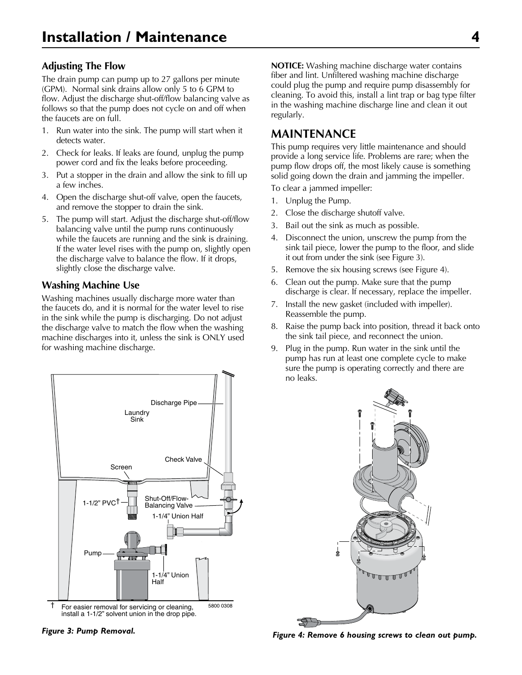#### **Adjusting The Flow**

The drain pump can pump up to 27 gallons per minute (GPM). Normal sink drains allow only 5 to 6 GPM to flow. Adjust the discharge shut-off/flow balancing valve as follows so that the pump does not cycle on and off when the faucets are on full.

- 1. Run water into the sink. The pump will start when it detects water.
- 2. Check for leaks. If leaks are found, unplug the pump power cord and fix the leaks before proceeding.
- 3. Put a stopper in the drain and allow the sink to fill up a few inches.
- 4. Open the discharge shut-off valve, open the faucets, and remove the stopper to drain the sink.
- 5. The pump will start. Adjust the discharge shut-off/flow balancing valve until the pump runs continuously while the faucets are running and the sink is draining. If the water level rises with the pump on, slightly open the discharge valve to balance the flow. If it drops, slightly close the discharge valve.

#### **Washing Machine Use**

Washing machines usually discharge more water than the faucets do, and it is normal for the water level to rise in the sink while the pump is discharging. Do not adjust the discharge valve to match the flow when the washing machine discharges into it, unless the sink is ONLY used for washing machine discharge.



**NOTICE:** Washing machine discharge water contains fiber and lint. Unfiltered washing machine discharge could plug the pump and require pump disassembly for cleaning. To avoid this, install a lint trap or bag type filter in the washing machine discharge line and clean it out regularly.

### **Maintenance**

This pump requires very little maintenance and should provide a long service life. Problems are rare; when the pump flow drops off, the most likely cause is something solid going down the drain and jamming the impeller.

To clear a jammed impeller:

- 1. Unplug the Pump.
- 2. Close the discharge shutoff valve.
- 3. Bail out the sink as much as possible.
- 4. Disconnect the union, unscrew the pump from the sink tail piece, lower the pump to the floor, and slide it out from under the sink (see Figure 3).
- 5. Remove the six housing screws (see Figure 4).
- 6. Clean out the pump. Make sure that the pump discharge is clear. If necessary, replace the impeller.
- 7. Install the new gasket (included with impeller). Reassemble the pump.
- 8. Raise the pump back into position, thread it back onto the sink tail piece, and reconnect the union.
- 9. Plug in the pump. Run water in the sink until the pump has run at least one complete cycle to make sure the pump is operating correctly and there are no leaks.



Figure 3: Pump Removal.<br>Figure 3: Pump Removal. **5801 03088** 5801 03088 Figure 4: Remove 6 housing screws to clean out pump.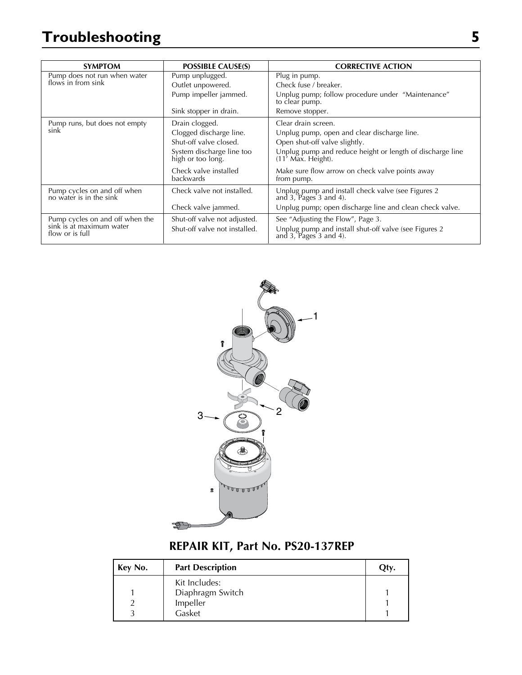# **Troubleshooting 5**

| <b>SYMPTOM</b>                                              | <b>POSSIBLE CAUSE(S)</b>                       | <b>CORRECTIVE ACTION</b>                                                        |
|-------------------------------------------------------------|------------------------------------------------|---------------------------------------------------------------------------------|
| Pump does not run when water                                | Pump unplugged.                                | Plug in pump.                                                                   |
| flows in from sink                                          | Outlet unpowered.                              | Check fuse / breaker.                                                           |
|                                                             | Pump impeller jammed.                          | Unplug pump; follow procedure under "Maintenance"<br>to clear pump.             |
|                                                             | Sink stopper in drain.                         | Remove stopper.                                                                 |
| Pump runs, but does not empty                               | Drain clogged.                                 | Clear drain screen.                                                             |
| sink                                                        | Clogged discharge line.                        | Unplug pump, open and clear discharge line.                                     |
|                                                             | Shut-off valve closed.                         | Open shut-off valve slightly.                                                   |
|                                                             | System discharge line too<br>high or too long. | Unplug pump and reduce height or length of discharge line<br>(11' Max. Height). |
|                                                             | Check valve installed<br><b>backwards</b>      | Make sure flow arrow on check valve points away<br>from pump.                   |
| Pump cycles on and off when<br>no water is in the sink      | Check valve not installed.                     | Unplug pump and install check valve (see Figures 2 and 3, Pages 3 and 4).       |
|                                                             | Check valve jammed.                            | Unplug pump; open discharge line and clean check valve.                         |
| Pump cycles on and off when the<br>sink is at maximum water | Shut-off valve not adjusted.                   | See "Adjusting the Flow", Page 3.                                               |
| flow or is full                                             | Shut-off valve not installed.                  | Unplug pump and install shut-off valve (see Figures 2 and 3, Pages 3 and 4).    |



# **REPAIR KIT, Part No. PS20-137REP**

| Key No. | <b>Part Description</b> | Qty. |
|---------|-------------------------|------|
|         | Kit Includes:           |      |
|         | Diaphragm Switch        |      |
|         | Impeller                |      |
|         | Gasket                  |      |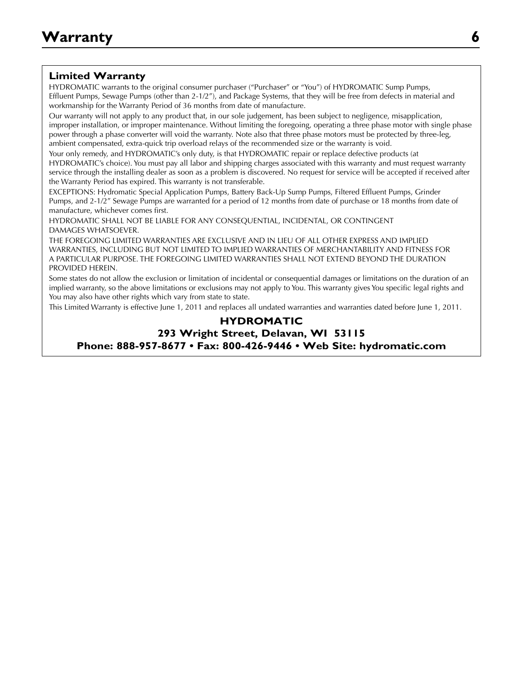#### **Limited Warranty**

HYDROMATIC warrants to the original consumer purchaser ("Purchaser" or "You") of HYDROMATIC Sump Pumps, Effluent Pumps, Sewage Pumps (other than 2-1/2"), and Package Systems, that they will be free from defects in material and workmanship for the Warranty Period of 36 months from date of manufacture.

Our warranty will not apply to any product that, in our sole judgement, has been subject to negligence, misapplication, improper installation, or improper maintenance. Without limiting the foregoing, operating a three phase motor with single phase power through a phase converter will void the warranty. Note also that three phase motors must be protected by three-leg, ambient compensated, extra-quick trip overload relays of the recommended size or the warranty is void.

Your only remedy, and HYDROMATIC's only duty, is that HYDROMATIC repair or replace defective products (at HYDROMATIC's choice). You must pay all labor and shipping charges associated with this warranty and must request warranty service through the installing dealer as soon as a problem is discovered. No request for service will be accepted if received after the Warranty Period has expired. This warranty is not transferable.

EXCEPTIONS: Hydromatic Special Application Pumps, Battery Back-Up Sump Pumps, Filtered Effluent Pumps, Grinder Pumps, and 2-1/2" Sewage Pumps are warranted for a period of 12 months from date of purchase or 18 months from date of manufacture, whichever comes first.

HYDROMATIC SHALL NOT BE LIABLE FOR ANY CONSEQUENTIAL, INCIDENTAL, OR CONTINGENT DAMAGES WHATSOEVER.

THE FOREGOING LIMITED WARRANTIES ARE EXCLUSIVE AND IN LIEU OF ALL OTHER EXPRESS AND IMPLIED WARRANTIES, INCLUDING BUT NOT LIMITED TO IMPLIED WARRANTIES OF MERCHANTABILITY AND FITNESS FOR A PARTICULAR PURPOSE. THE FOREGOING LIMITED WARRANTIES SHALL NOT EXTEND BEYOND THE DURATION PROVIDED HEREIN.

Some states do not allow the exclusion or limitation of incidental or consequential damages or limitations on the duration of an implied warranty, so the above limitations or exclusions may not apply to You. This warranty gives You specific legal rights and You may also have other rights which vary from state to state.

This Limited Warranty is effective June 1, 2011 and replaces all undated warranties and warranties dated before June 1, 2011.

#### **HYDROMATIC 293 Wright Street, Delavan, WI 53115 Phone: 888-957-8677 • Fax: 800-426-9446 • Web Site: hydromatic.com**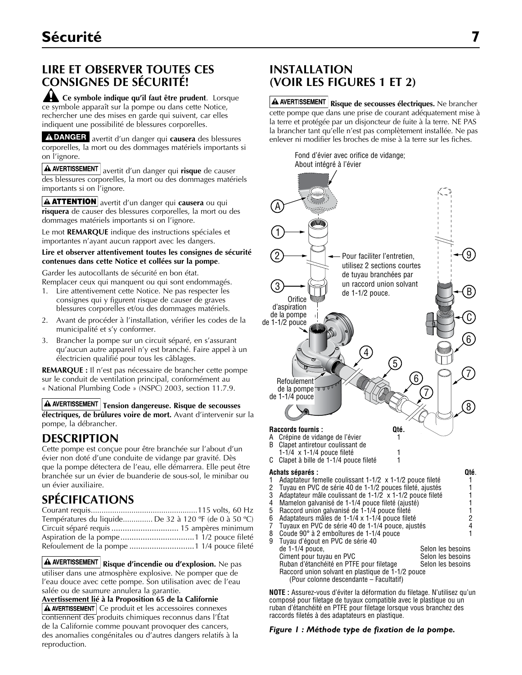## **LIRE ET OBSERVER TOUTES CES CONSIGNES DE SÉCURITÉ!**

**Ce symbole indique qu'il faut être prudent**. Lorsque ce symbole apparaît sur la pompe ou dans cette Notice, rechercher une des mises en garde qui suivent, car elles indiquent une possibilité de blessures corporelles.

A DANGER avertit d'un danger qui causera des blessures corporelles, la mort ou des dommages matériels importants si on l'ignore.

**A AVERTISSEMENT** avertit d'un danger qui risque de causer des blessures corporelles, la mort ou des dommages matériels importants si on l'ignore.

**A ATTENTION** avertit d'un danger qui **causera** ou qui **risquera** de causer des blessures corporelles, la mort ou des dommages matériels importants si on l'ignore.

Le mot **REMARQUE** indique des instructions spéciales et importantes n'ayant aucun rapport avec les dangers.

#### **Lire et observer attentivement toutes les consignes de sécurité contenues dans cette Notice et collées sur la pompe**.

Garder les autocollants de sécurité en bon état.

- Remplacer ceux qui manquent ou qui sont endommagés.
- 1. Lire attentivement cette Notice. Ne pas respecter les consignes qui y figurent risque de causer de graves blessures corporelles et/ou des dommages matériels.
- 2. Avant de procéder à l'installation, vérifier les codes de la municipalité et s'y conformer.
- 3. Brancher la pompe sur un circuit séparé, en s'assurant qu'aucun autre appareil n'y est branché. Faire appel à un électricien qualifié pour tous les câblages.

**REMARQUE :** Il n'est pas nécessaire de brancher cette pompe sur le conduit de ventilation principal, conformément au « National Plumbing Code » (NSPC) 2003, section 11.7.9.

 $\triangle$  AVERTISSEMENT Tension dangereuse. Risque de secousses **électriques, de brûlures voire de mort.** Avant d'intervenir sur la pompe, la débrancher.

### **Description**

Cette pompe est conçue pour être branchée sur l'about d'un évier non doté d'une conduite de vidange par gravité. Dès que la pompe détectera de l'eau, elle démarrera. Elle peut être branchée sur un évier de buanderie de sous-sol, le minibar ou un évier auxiliaire.

### **SPÉCIFICATIONS**

| Températures du liquide De 32 à 120 °F (de 0 à 50 °C) |  |
|-------------------------------------------------------|--|
|                                                       |  |
|                                                       |  |
| Refoulement de la pompe  1 1/4 pouce fileté           |  |

**Risque d'incendie ou d'explosion.** Ne pas utiliser dans une atmosphère explosive. Ne pomper que de l'eau douce avec cette pompe. Son utilisation avec de l'eau salée ou de saumure annulera la garantie.

**Avertissement lié à la Proposition 65 de la Californie**   $\Delta$  AVERTISSEMENT Ce produit et les accessoires connexes contiennent des produits chimiques reconnus dans l'État de la Californie comme pouvant provoquer des cancers, des anomalies congénitales ou d'autres dangers relatifs à la reproduction.

### **INSTALLATION (VOIR LES FIGURES 1 ET 2)**

**A AVERTISSEMENT** Risque de secousses électriques. Ne brancher cette pompe que dans une prise de courant adéquatement mise à la terre et protégée par un disjoncteur de fuite à la terre. NE PAS la brancher tant qu'elle n'est pas complètement installée. Ne pas enlever ni modifier les broches de mise à la terre sur les fiches.

> Fond d'évier avec orifice de vidange; About intégré à l'évier



**NOTE** : Assurez-vous d'éviter la déformation du filetage. N'utilisez qu'un no composé pour filetage de tuyaux compatible avec le plastique ou un compound or PTFE pipe thread sealant tape ruban d'étanchéité en PTFE pour filetage lorsque vous branchez des raccords filetés à des adaptateurs en plastique.

#### *Figure 1 : Méthode type de fixation de la pompe.*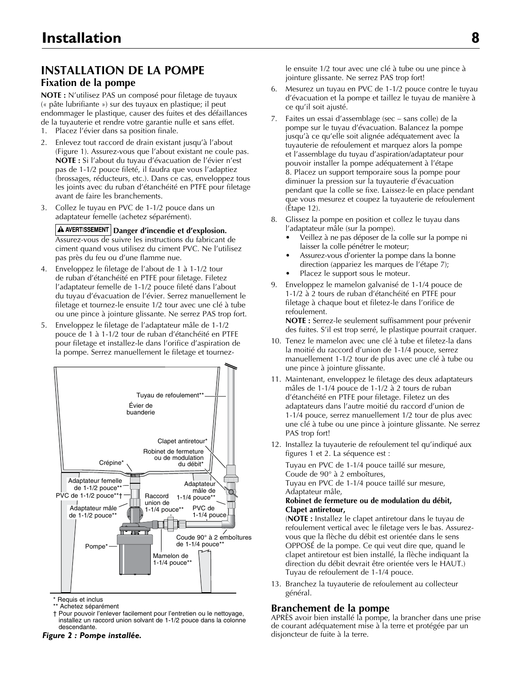## **INSTALLATION DE LA POMPE**

#### **Fixation de la pompe**

**NOTE :** N'utilisez PAS un composé pour filetage de tuyaux (« pâte lubrifiante ») sur des tuyaux en plastique; il peut endommager le plastique, causer des fuites et des défaillances de la tuyauterie et rendre votre garantie nulle et sans effet.

- 1. Placez l'évier dans sa position finale.
- 2. Enlevez tout raccord de drain existant jusqu'à l'about (Figure 1). Assurez-vous que l'about existant ne coule pas. **NOTE :** Si l'about du tuyau d'évacuation de l'évier n'est pas de 1-1/2 pouce fileté, il faudra que vous l'adaptiez (brossages, réducteurs, etc.). Dans ce cas, enveloppez tous les joints avec du ruban d'étanchéité en PTFE pour filetage avant de faire les branchements.
- 3. Collez le tuyau en PVC de 1-1/2 pouce dans un adaptateur femelle (achetez séparément).

**A** AVERTISSEMENT Danger d'incendie et d'explosion. Assurez-vous de suivre les instructions du fabricant de ciment quand vous utilisez du ciment PVC. Ne l'utilisez pas près du feu ou d'une flamme nue.

- 4. Enveloppez le filetage de l'about de 1 à 1-1/2 tour de ruban d'étanchéité en PTFE pour filetage. Filetez l'adaptateur femelle de 1-1/2 pouce fileté dans l'about du tuyau d'évacuation de l'évier. Serrez manuellement le filetage et tournez-le ensuite 1/2 tour avec une clé à tube ou une pince à jointure glissante. Ne serrez PAS trop fort.
- 5. Enveloppez le filetage de l'adaptateur mâle de 1-1/2 pouce de 1 à 1-1/2 tour de ruban d'étanchéité en PTFE pour filetage et installez-le dans l'orifice d'aspiration de la pompe. Serrez manuellement le filetage et tournez-



\* Requis et inclus

\*\* Achetez séparément † Pour pouvoir l'enlever facilement pour l'entretien ou le nettoyage,<br>installez un researd union selvent de 1.1/2 neues dans le selenne installez un raccord union solvant de 1-1/2 pouce dans la colonne<br>deceendente descendante.

*Figure 2 : Pompe installée.*

le ensuite 1/2 tour avec une clé à tube ou une pince à jointure glissante. Ne serrez PAS trop fort!

- 6. Mesurez un tuyau en PVC de 1-1/2 pouce contre le tuyau d'évacuation et la pompe et taillez le tuyau de manière à ce qu'il soit ajusté.
- 7. Faites un essai d'assemblage (sec sans colle) de la pompe sur le tuyau d'évacuation. Balancez la pompe jusqu'à ce qu'elle soit alignée adéquatement avec la tuyauterie de refoulement et marquez alors la pompe et l'assemblage du tuyau d'aspiration/adaptateur pour pouvoir installer la pompe adéquatement à l'étape 8. Placez un support temporaire sous la pompe pour diminuer la pression sur la tuyauterie d'évacuation pendant que la colle se fixe. Laissez-le en place pendant que vous mesurez et coupez la tuyauterie de refoulement (Étape 12).
- 8. Glissez la pompe en position et collez le tuyau dans l'adaptateur mâle (sur la pompe).
	- Veillez à ne pas déposer de la colle sur la pompe ni laisser la colle pénétrer le moteur;
	- Assurez-vous d'orienter la pompe dans la bonne direction (appariez les marques de l'étape 7);
	- Placez le support sous le moteur.
- 9. Enveloppez le mamelon galvanisé de 1-1/4 pouce de 1-1/2 à 2 tours de ruban d'étanchéité en PTFE pour filetage à chaque bout et filetez-le dans l'orifice de refoulement.

**NOTE :** Serrez-le seulement suffisamment pour prévenir des fuites. S'il est trop serré, le plastique pourrait craquer.

- 10. Tenez le mamelon avec une clé à tube et filetez-la dans la moitié du raccord d'union de 1-1/4 pouce, serrez manuellement 1-1/2 tour de plus avec une clé à tube ou une pince à jointure glissante.
- 11. Maintenant, enveloppez le filetage des deux adaptateurs mâles de 1-1/4 pouce de 1-1/2 à 2 tours de ruban d'étanchéité en PTFE pour filetage. Filetez un des adaptateurs dans l'autre moitié du raccord d'union de 1-1/4 pouce, serrez manuellement 1/2 tour de plus avec une clé à tube ou une pince à jointure glissante. Ne serrez PAS trop fort!
- 12. Installez la tuyauterie de refoulement tel qu'indiqué aux figures 1 et 2. La séquence est :

Tuyau en PVC de 1-1/4 pouce taillé sur mesure, Coude de 90° à 2 emboîtures,

Tuyau en PVC de 1-1/4 pouce taillé sur mesure, Adaptateur mâle,

#### **Robinet de fermeture ou de modulation du débit, Clapet antiretour,**

(**NOTE :** Installez le clapet antiretour dans le tuyau de refoulement vertical avec le filetage vers le bas. Assurezvous que la flèche du débit est orientée dans le sens OPPOSÉ de la pompe. Ce qui veut dire que, quand le clapet antiretour est bien installé, la flèche indiquant la direction du débit devrait être orientée vers le HAUT.) Tuyau de refoulement de 1-1/4 pouce.

13. Branchez la tuyauterie de refoulement au collecteur général.

#### **Branchement de la pompe**

APRÈS avoir bien installé la pompe, la brancher dans une prise de courant adéquatement mise à la terre et protégée par un disjoncteur de fuite à la terre.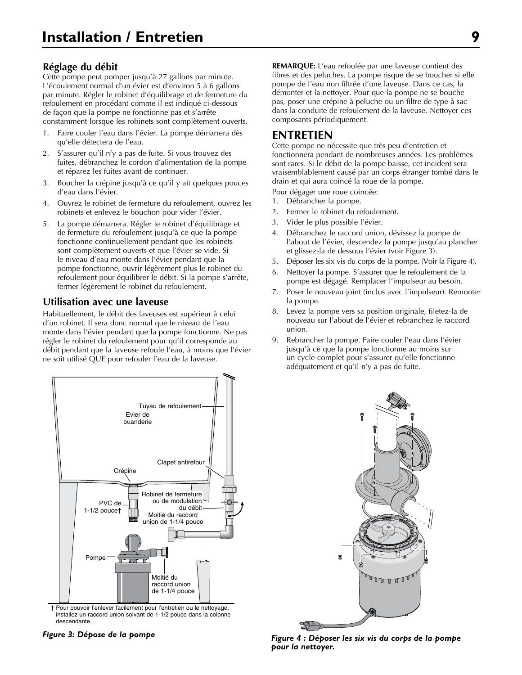#### **Réglage du débit**

Cette pompe peut pomper jusqu'à 27 gallons par minute. L'écoulement normal d'un évier est d'environ 5 à 6 gallons par minute. Régler le robinet d'équilibrage et de fermeture du refoulement en procédant comme il est indiqué ci-dessous de façon que la pompe ne fonctionne pas et s'arrête constamment lorsque les robinets sont complètement ouverts.

- 1. Faire couler l'eau dans l'évier. La pompe démarrera dès qu'elle détectera de l'eau.
- 2. S'assurer qu'il n'y a pas de fuite. Si vous trouvez des fuites, débranchez le cordon d'alimentation de la pompe et réparez les fuites avant de continuer.
- 3. Boucher la crépine jusqu'à ce qu'il y ait quelques pouces d'eau dans l'évier.
- 4. Ouvrez le robinet de fermeture du refoulement, ouvrez les robinets et enlevez le bouchon pour vider l'évier.
- 5. La pompe démarrera. Régler le robinet d'équilibrage et de fermeture du refoulement jusqu'à ce que la pompe fonctionne continuellement pendant que les robinets sont complètement ouverts et que l'évier se vide. Si le niveau d'eau monte dans l'évier pendant que la pompe fonctionne, ouvrir légèrement plus le robinet du refoulement pour équilibrer le débit. Si la pompe s'arrête, fermer légèrement le robinet du refoulement.

#### **Utilisation avec une laveuse**

Habituellement, le débit des laveuses est supérieur à celui d'un robinet. Il sera donc normal que le niveau de l'eau monte dans l'évier pendant que la pompe fonctionne. Ne pas régler le robinet du refoulement pour qu'il corresponde au débit pendant que la laveuse refoule l'eau, à moins que l'évier ne soit utilisé QUE pour refouler l'eau de la laveuse.



† Pour pouvoir l'enlever facilement pour l'entretien ou le nettoyage, installez un raccord union solvant de 1-1/2 pouce dans la colonne descendante.

**REMARQUE:** L'eau refoulée par une laveuse contient des fibres et des peluches. La pompe risque de se boucher si elle pompe de l'eau non filtrée d'une laveuse. Dans ce cas, la démonter et la nettoyer. Pour que la pompe ne se bouche pas, poser une crépine à peluche ou un filtre de type à sac dans la conduite de refoulement de la laveuse. Nettoyer ces composants périodiquement.

### **ENTRETIEN**

Cette pompe ne nécessite que très peu d'entretien et fonctionnera pendant de nombreuses années. Les problèmes sont rares. Si le débit de la pompe baisse, cet incident sera vraisemblablement causé par un corps étranger tombé dans le drain et qui aura coincé la roue de la pompe.

Pour dégager une roue coincée:

- 1. Débrancher la pompe.
- 2. Fermer le robinet du refoulement.
- 3. Vider le plus possible l'évier.
- 4. Débranchez le raccord union, dévissez la pompe de l'about de l'évier, descendez la pompe jusqu'au plancher et glissez-la de dessous l'évier (voir Figure 3).
- 5. Déposer les six vis du corps de la pompe. (Voir la Figure 4).
- Nettoyer la pompe. S'assurer que le refoulement de la pompe est dégagé. Remplacer l'impulseur au besoin.
- 7. Poser le nouveau joint (inclus avec l'impulseur). Remonter la pompe.
- 8. Levez la pompe vers sa position originale, filetez-la de nouveau sur l'about de l'évier et rebranchez le raccord union.
- 9. Rebrancher la pompe. Faire couler l'eau dans l'évier jusqu'à ce que la pompe fonctionne au moins sur un cycle complet pour s'assurer qu'elle fonctionne adéquatement et qu'il n'y a pas de fuite.



*Figure 3: Dépose de la pompe Figure 4 : Déposer les six vis du corps de la pompe pour la nettoyer.*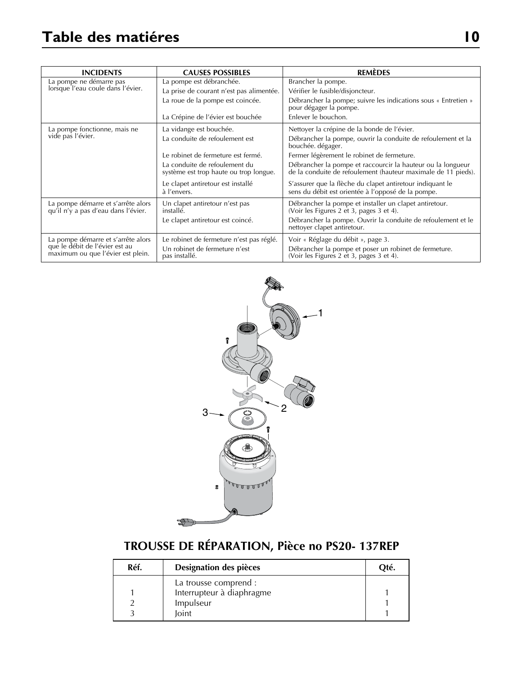| <b>INCIDENTS</b>                                                                                                         | <b>CAUSES POSSIBLES</b>                                                 | <b>REMÈDES</b>                                                                                                               |
|--------------------------------------------------------------------------------------------------------------------------|-------------------------------------------------------------------------|------------------------------------------------------------------------------------------------------------------------------|
| La pompe ne démarre pas<br>lorsque l'eau coule dans l'évier.                                                             | La pompe est débranchée.                                                | Brancher la pompe.                                                                                                           |
|                                                                                                                          | La prise de courant n'est pas alimentée.                                | Vérifier le fusible/disjoncteur.                                                                                             |
|                                                                                                                          | La roue de la pompe est coincée.                                        | Débrancher la pompe; suivre les indications sous « Entretien »<br>pour dégager la pompe.                                     |
|                                                                                                                          | La Crépine de l'évier est bouchée                                       | Enlever le bouchon.                                                                                                          |
| La pompe fonctionne, mais ne                                                                                             | La vidange est bouchée.                                                 | Nettoyer la crépine de la bonde de l'évier.                                                                                  |
| vide pas l'évier.                                                                                                        | La conduite de refoulement est                                          | Débrancher la pompe, ouvrir la conduite de refoulement et la<br>bouchée. dégager.                                            |
|                                                                                                                          | Le robinet de fermeture est fermé.                                      | Fermer légèrement le robinet de fermeture.                                                                                   |
|                                                                                                                          | La conduite de refoulement du<br>système est trop haute ou trop longue. | Débrancher la pompe et raccourcir la hauteur ou la longueur<br>de la conduite de refoulement (hauteur maximale de 11 pieds). |
|                                                                                                                          | Le clapet antiretour est installé<br>à l'envers.                        | S'assurer que la flèche du clapet antiretour indiquant le<br>sens du débit est orientée à l'opposé de la pompe.              |
| La pompe démarre et s'arrête alors<br>Un clapet antiretour n'est pas<br>qu'il n'y a pas d'eau dans l'évier.<br>installé. |                                                                         | Débrancher la pompe et installer un clapet antiretour.<br>(Voir les Figures 2 et 3, pages 3 et 4).                           |
|                                                                                                                          | Le clapet antiretour est coincé.                                        | Débrancher la pompe. Ouvrir la conduite de refoulement et le<br>nettoyer clapet antiretour.                                  |
| La pompe démarre et s'arrête alors                                                                                       | Le robinet de fermeture n'est pas réglé.                                | Voir « Réglage du débit », page 3.                                                                                           |
| que le débit de l'évier est au<br>maximum ou que l'évier est plein.                                                      | Un robinet de fermeture n'est<br>pas installé.                          | Débrancher la pompe et poser un robinet de fermeture.<br>(Voir les Figures 2 et 3, pages 3 et 4).                            |



# **TROUSSE DE RÉPARATION, Pièce no PS20- 137REP**

Ś

| Réf. | Designation des pièces    | Oté. |
|------|---------------------------|------|
|      | La trousse comprend :     |      |
|      | Interrupteur à diaphragme |      |
|      | Impulseur                 |      |
|      | loint                     |      |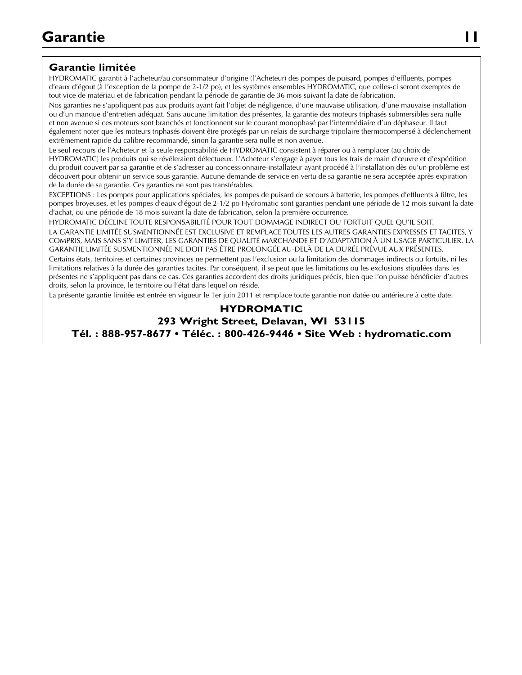### **Garantie limitée**

HYDROMATIC garantit à l'acheteur/au consommateur d'origine (l'Acheteur) des pompes de puisard, pompes d'effluents, pompes d'eaux d'égout (à l'exception de la pompe de 2-1/2 po), et les systèmes ensembles HYDROMATIC, que celles-ci seront exemptes de tout vice de matériau et de fabrication pendant la période de garantie de 36 mois suivant la date de fabrication.

Nos garanties ne s'appliquent pas aux produits ayant fait l'objet de négligence, d'une mauvaise utilisation, d'une mauvaise installation ou d'un manque d'entretien adéquat. Sans aucune limitation des présentes, la garantie des moteurs triphasés submersibles sera nulle et non avenue si ces moteurs sont branchés et fonctionnent sur le courant monophasé par l'intermédiaire d'un déphaseur. Il faut également noter que les moteurs triphasés doivent être protégés par un relais de surcharge tripolaire thermocompensé à déclenchement extrêmement rapide du calibre recommandé, sinon la garantie sera nulle et non avenue.

Le seul recours de l'Acheteur et la seule responsabilité de HYDROMATIC consistent à réparer ou à remplacer (au choix de HYDROMATIC) les produits qui se révéleraient défectueux. L'Acheteur s'engage à payer tous les frais de main d'œuvre et d'expédition du produit couvert par sa garantie et de s'adresser au concessionnaire-installateur ayant procédé à l'installation dès qu'un problème est découvert pour obtenir un service sous garantie. Aucune demande de service en vertu de sa garantie ne sera acceptée après expiration de la durée de sa garantie. Ces garanties ne sont pas transférables.

EXCEPTIONS : Les pompes pour applications spéciales, les pompes de puisard de secours à batterie, les pompes d'effluents à filtre, les pompes broyeuses, et les pompes d'eaux d'égout de 2-1/2 po Hydromatic sont garanties pendant une période de 12 mois suivant la date d'achat, ou une période de 18 mois suivant la date de fabrication, selon la première occurrence.

HYDROMATIC DÉCLINE TOUTE RESPONSABILITÉ POUR TOUT DOMMAGE INDIRECT OU FORTUIT QUEL QU'IL SOIT.

LA GARANTIE LIMITÉE SUSMENTIONNÉE EST EXCLUSIVE ET REMPLACE TOUTES LES AUTRES GARANTIES EXPRESSES ET TACITES, Y COMPRIS, MAIS SANS S'Y LIMITER, LES GARANTIES DE QUALITÉ MARCHANDE ET D'ADAPTATION À UN USAGE PARTICULIER. LA GARANTIE LIMITÉE SUSMENTIONNÉE NE DOIT PAS ÊTRE PROLONGÉE AU-DELÀ DE LA DURÉE PRÉVUE AUX PRÉSENTES.

Certains états, territoires et certaines provinces ne permettent pas l'exclusion ou la limitation des dommages indirects ou fortuits, ni les limitations relatives à la durée des garanties tacites. Par conséquent, il se peut que les limitations ou les exclusions stipulées dans les présentes ne s'appliquent pas dans ce cas. Ces garanties accordent des droits juridiques précis, bien que l'on puisse bénéficier d'autres droits, selon la province, le territoire ou l'état dans lequel on réside.

La présente garantie limitée est entrée en vigueur le 1er juin 2011 et remplace toute garantie non datée ou antérieure à cette date.

#### **HYDROMATIC 293 Wright Street, Delavan, WI 53115 Tél. : 888-957-8677 • Téléc. : 800-426-9446 • Site Web : hydromatic.com**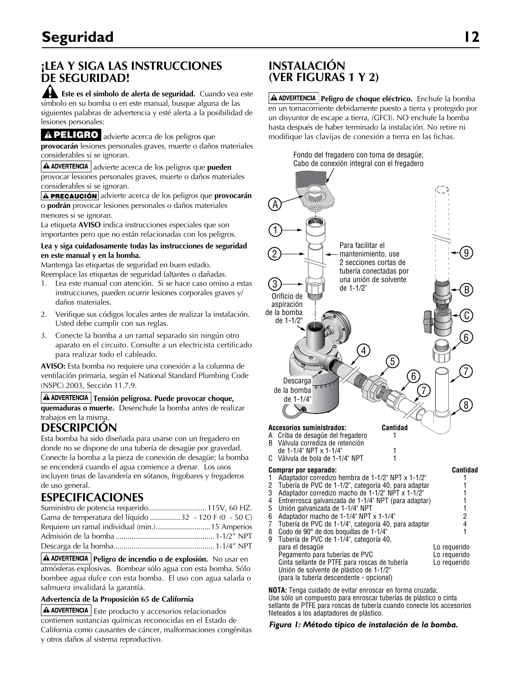### **¡LEA Y SIGA LAS INSTRUCCIONES DE SEGURIDAD!**

**Este es el símbolo de alerta de seguridad.** Cuando vea este símbolo en su bomba o en este manual, busque alguna de las siguientes palabras de advertencia y esté alerta a la posibilidad de lesiones personales:

A PELIGRO advierte acerca de los peligros que **provocarán** lesiones personales graves, muerte o daños materiales considerables si se ignoran.

A ADVERTENCIA advierte acerca de los peligros que pueden provocar lesiones personales graves, muerte o daños materiales considerables si se ignoran.

**A PRECAUCIÓN** advierte acerca de los peligros que **provocarán** o **podrán** provocar lesiones personales o daños materiales menores si se ignoran.

La etiqueta **AVISO** indica instrucciones especiales que son importantes pero que no están relacionadas con los peligros.

#### **Lea y siga cuidadosamente todas las instrucciones de seguridad en este manual y en la bomba.**

Mantenga las etiquetas de seguridad en buen estado. Reemplace las etiquetas de seguridad faltantes o dañadas.

- 1. Lea este manual con atención. Si se hace caso omiso a estas instrucciones, pueden ocurrir lesiones corporales graves y/ daños materiales.
- 2. Verifique sus códigos locales antes de realizar la instalación. Usted debe cumplir con sus reglas.
- 3. Conecte la bomba a un ramal separado sin ningún otro aparato en el circuito. Consulte a un electricista certificado para realizar todo el cableado.

**AVISO:** Esta bomba no requiere una conexión a la columna de ventilación primaria, según el National Standard Plumbing Code (NSPC) 2003, Sección 11.7.9.

### **A ADVERTENCIA Tensión peligrosa. Puede provocar choque,**

**quemaduras o muerte.** Desenchufe la bomba antes de realizar trabajos en la misma.

### **DESCRIPCIÓN**

Esta bomba ha sido diseñada para usarse con un fregadero en donde no se dispone de una tubería de desagüe por gravedad. Conecte la bomba a la pieza de conexión de desagüe; la bomba se encenderá cuando el agua comience a drenar. Los usos incluyen tinas de lavandería en sótanos, frigobares y fregaderos de uso general.

### **ESPECIFICACIONES**

| Suministro de potencia requerido 115V, 60 HZ.          |  |
|--------------------------------------------------------|--|
| Gama de temperatura del líquido  32 - 120 F (0 - 50 C) |  |
|                                                        |  |
|                                                        |  |
|                                                        |  |

**Peligro de incendio o de explosión.** No usar en atmósferas explosivas. Bombear sólo agua con esta bomba. Sólo bombee agua dulce con esta bomba. El uso con agua salada o salmuera invalidará la garantía.

#### **Advertencia de la Proposición 65 de California**

 $\Delta$  ADVERTENCIA | Este producto y accesorios relacionados contienen sustancias químicas reconocidas en el Estado de California como causantes de cáncer, malformaciones congénitas y otros daños al sistema reproductivo.

### **INSTALACIÓN (VER FIGURAS 1 Y 2)**

**Peligro de choque eléctrico.** Enchufe la bomba en un tomacorriente debidamente puesto a tierra y protegido por un disyuntor de escape a tierra, (GFCI). NO enchufe la bomba hasta después de haber terminado la instalación. No retire ni modifique las clavijas de conexión a tierra en las fichas.



**NOTA:** Tenga cuidado de evitar enroscar en forma cruzada; no matem-tenga caladas as emais en escar en remidio azuad,<br>Use sólo un compuesto para enroscar tuberías de plástico o cinta compound or PTFE pipe thread sealant tape sellante de PTFE para roscas de tubería cuando conecte los accesorios when control to plastic adapters. The connection of the connection of the connection of the connection of the connection of the connection of the connection of the connection of the connection of the connection of the conn

#### *Figura 1: Método típico de instalación de la bomba.*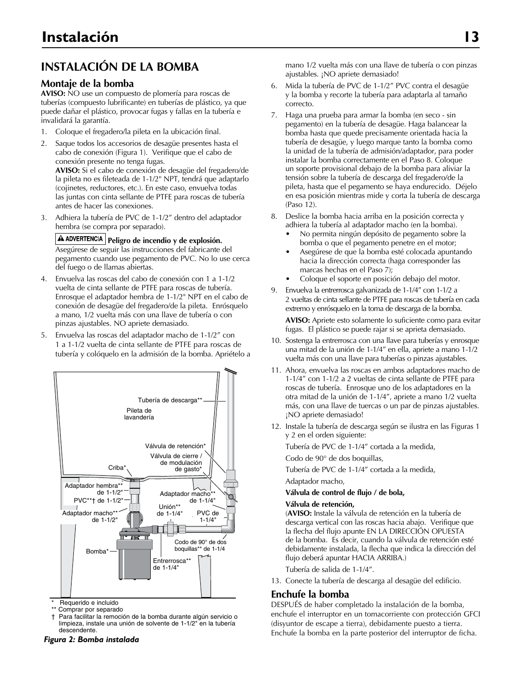# **INSTALACIÓN DE LA BOMBA**

#### **Montaje de la bomba**

**AVISO:** NO use un compuesto de plomería para roscas de tuberías (compuesto lubrificante) en tuberías de plástico, ya que puede dañar el plástico, provocar fugas y fallas en la tubería e invalidará la garantía.

- 1. Coloque el fregadero/la pileta en la ubicación final.
- 2. Saque todos los accesorios de desagüe presentes hasta el cabo de conexión (Figura 1). Verifique que el cabo de conexión presente no tenga fugas.

**AVISO:** Si el cabo de conexión de desagüe del fregadero/de la pileta no es fileteada de 1-1/2" NPT, tendrá que adaptarlo (cojinetes, reductores, etc.). En este caso, envuelva todas las juntas con cinta sellante de PTFE para roscas de tubería antes de hacer las conexiones.

3. Adhiera la tubería de PVC de 1-1/2" dentro del adaptador hembra (se compra por separado).

**A ADVERTENCIA Peligro de incendio y de explosión.** Asegúrese de seguir las instrucciones del fabricante del pegamento cuando use pegamento de PVC. No lo use cerca del fuego o de llamas abiertas.

- 4. Envuelva las roscas del cabo de conexión con 1 a 1-1/2 vuelta de cinta sellante de PTFE para roscas de tubería. Enrosque el adaptador hembra de 1-1/2" NPT en el cabo de conexión de desagüe del fregadero/de la pileta. Enrósquelo a mano, 1/2 vuelta más con una llave de tubería o con pinzas ajustables. NO apriete demasiado.
- 5. Envuelva las roscas del adaptador macho de 1-1/2" con 1 a 1-1/2 vuelta de cinta sellante de PTFE para roscas de tubería y colóquelo en la admisión de la bomba. Apriételo a



mequerido e iriciuldo<br>\*\* Comprar por separado Requerido e incluido

 $^{**}$  Comprar por separado<br>† Para facilitar la remoción de la bomba durante algún servicio o † For easier removal for servicing or cleaning, limpieza, instale una unión de solvente de 1-1/2" en la tubería install a 1-1/2" solvent union in the drop pipe. descendente.

mano 1/2 vuelta más con una llave de tubería o con pinzas ajustables. ¡NO apriete demasiado!

- 6. Mida la tubería de PVC de 1-1/2" PVC contra el desagüe y la bomba y recorte la tubería para adaptarla al tamaño correcto.
- 7. Haga una prueba para armar la bomba (en seco sin pegamento) en la tubería de desagüe. Haga balancear la bomba hasta que quede precisamente orientada hacia la tubería de desagüe, y luego marque tanto la bomba como la unidad de la tubería de admisión/adaptador, para poder instalar la bomba correctamente en el Paso 8. Coloque un soporte provisional debajo de la bomba para aliviar la tensión sobre la tubería de descarga del fregadero/de la pileta, hasta que el pegamento se haya endurecido. Déjelo en esa posición mientras mide y corta la tubería de descarga (Paso 12).
- 8. Deslice la bomba hacia arriba en la posición correcta y adhiera la tubería al adaptador macho (en la bomba).
	- No permita ningún depósito de pegamento sobre la bomba o que el pegamento penetre en el motor;
	- Asegúrese de que la bomba esté colocada apuntando hacia la dirección correcta (haga corresponder las marcas hechas en el Paso 7);
	- Coloque el soporte en posición debajo del motor.
- 9. Envuelva la entrerrosca galvanizada de 1-1/4" con 1-1/2 a 2 vueltas de cinta sellante de PTFE para roscas de tubería en cada extremo y enrósquelo en la toma de descarga de la bomba.

**AVISO:** Apriete esto solamente lo suficiente como para evitar fugas. El plástico se puede rajar si se aprieta demasiado.

- 10. Sostenga la entrerrosca con una llave para tuberías y enrosque una mitad de la unión de 1-1/4" en ella, apriete a mano 1-1/2 vuelta más con una llave para tuberías o pinzas ajustables.
- 11. Ahora, envuelva las roscas en ambos adaptadores macho de 1-1/4" con 1-1/2 a 2 vueltas de cinta sellante de PTFE para roscas de tubería. Enrosque uno de los adaptadores en la otra mitad de la unión de 1-1/4", apriete a mano 1/2 vuelta más, con una llave de tuercas o un par de pinzas ajustables. ¡NO apriete demasiado!
- 12. Instale la tubería de descarga según se ilustra en las Figuras 1 y 2 en el orden siguiente:

Tubería de PVC de 1-1/4" cortada a la medida,

Codo de 90° de dos boquillas,

Tubería de PVC de 1-1/4" cortada a la medida,

Adaptador macho,

#### **Válvula de control de flujo / de bola,**

#### **Válvula de retención,**

(**AVISO:** Instale la válvula de retención en la tubería de descarga vertical con las roscas hacia abajo. Verifique que la flecha del flujo apunte EN LA DIRECCIÓN OPUESTA de la bomba. Es decir, cuando la válvula de retención esté debidamente instalada, la flecha que indica la dirección del flujo deberá apuntar HACIA ARRIBA.)

Tubería de salida de 1-1/4".

13. Conecte la tubería de descarga al desagüe del edificio.

#### **Enchufe la bomba**

DESPUÉS de haber completado la instalación de la bomba, enchufe el interruptor en un tomacorriente con protección GFCI (disyuntor de escape a tierra), debidamente puesto a tierra. Enchufe la bomba en la parte posterior del interruptor de ficha. *Figura 2: Bomba instalada*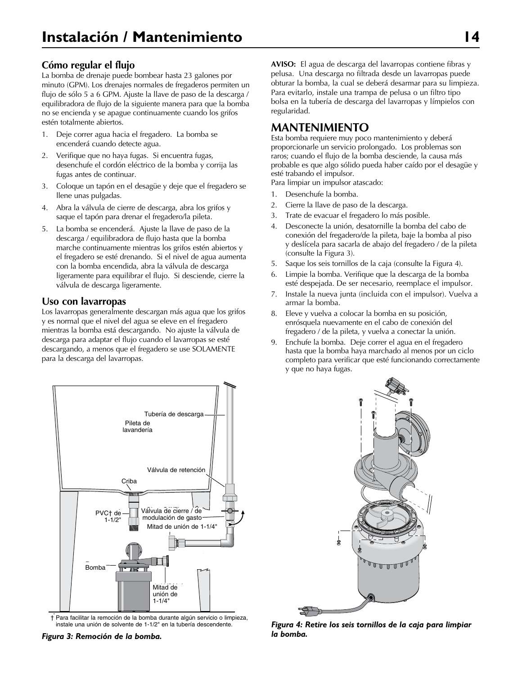#### **Cómo regular el flujo**

La bomba de drenaje puede bombear hasta 23 galones por minuto (GPM). Los drenajes normales de fregaderos permiten un flujo de sólo 5 a 6 GPM. Ajuste la llave de paso de la descarga / equilibradora de flujo de la siguiente manera para que la bomba no se encienda y se apague continuamente cuando los grifos estén totalmente abiertos.

- 1. Deje correr agua hacia el fregadero. La bomba se encenderá cuando detecte agua.
- 2. Verifique que no haya fugas. Si encuentra fugas, desenchufe el cordón eléctrico de la bomba y corrija las fugas antes de continuar.
- 3. Coloque un tapón en el desagüe y deje que el fregadero se llene unas pulgadas.
- 4. Abra la válvula de cierre de descarga, abra los grifos y saque el tapón para drenar el fregadero/la pileta.
- 5. La bomba se encenderá. Ajuste la llave de paso de la descarga / equilibradora de flujo hasta que la bomba marche continuamente mientras los grifos estén abiertos y el fregadero se esté drenando. Si el nivel de agua aumenta con la bomba encendida, abra la válvula de descarga ligeramente para equilibrar el flujo. Si desciende, cierre la válvula de descarga ligeramente.

#### **Uso con lavarropas**

Los lavarropas generalmente descargan más agua que los grifos y es normal que el nivel del agua se eleve en el fregadero mientras la bomba está descargando. No ajuste la válvula de descarga para adaptar el flujo cuando el lavarropas se esté descargando, a menos que el fregadero se use SOLAMENTE para la descarga del lavarropas.



 $\dagger$  Para facilitar la remoción de la bomba durante algún servicio o limpieza, instale una unión de solvente de 1-1/2" en la tubería descendente.

*Figura 3: Remoción de la bomba.*

**AVISO:** El agua de descarga del lavarropas contiene fibras y pelusa. Una descarga no filtrada desde un lavarropas puede obturar la bomba, la cual se deberá desarmar para su limpieza. Para evitarlo, instale una trampa de pelusa o un filtro tipo bolsa en la tubería de descarga del lavarropas y límpielos con regularidad.

### **MANTENIMIENTO**

Esta bomba requiere muy poco mantenimiento y deberá proporcionarle un servicio prolongado. Los problemas son raros; cuando el flujo de la bomba desciende, la causa más probable es que algo sólido pueda haber caído por el desagüe y esté trabando el impulsor.

Para limpiar un impulsor atascado:

- 1. Desenchufe la bomba.
- 2. Cierre la llave de paso de la descarga.
- 3. Trate de evacuar el fregadero lo más posible.
- 4. Desconecte la unión, desatornille la bomba del cabo de conexión del fregadero/de la pileta, baje la bomba al piso y deslícela para sacarla de abajo del fregadero / de la pileta (consulte la Figura 3).
- 5. Saque los seis tornillos de la caja (consulte la Figura 4).
- 6. Limpie la bomba. Verifique que la descarga de la bomba esté despejada. De ser necesario, reemplace el impulsor.
- 7. Instale la nueva junta (incluida con el impulsor). Vuelva a armar la bomba.
- 8. Eleve y vuelva a colocar la bomba en su posición, enrósquela nuevamente en el cabo de conexión del fregadero / de la pileta, y vuelva a conectar la unión.
- 9. Enchufe la bomba. Deje correr el agua en el fregadero hasta que la bomba haya marchado al menos por un ciclo completo para verificar que esté funcionando correctamente y que no haya fugas.



*Figura 4: Retire los seis tornillos de la caja para limpiar la bomba.*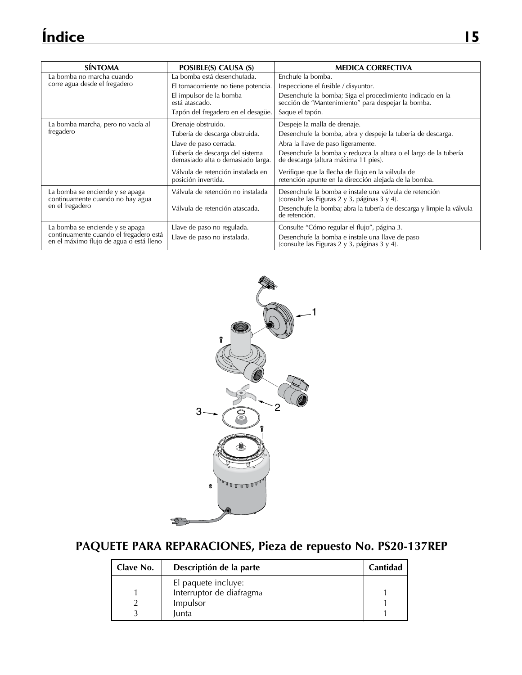| <b>SÍNTOMA</b>                                                                    | POSIBLE(S) CAUSA (S)                                                 | <b>MEDICA CORRECTIVA</b>                                                                                        |
|-----------------------------------------------------------------------------------|----------------------------------------------------------------------|-----------------------------------------------------------------------------------------------------------------|
| La bomba no marcha cuando                                                         | La bomba está desenchufada.                                          | Enchufe la bomba.                                                                                               |
| corre agua desde el fregadero                                                     | El tomacorriente no tiene potencia.                                  | Inspeccione el fusible / disyuntor.                                                                             |
|                                                                                   | El impulsor de la bomba<br>está atascado.                            | Desenchufe la bomba; Siga el procedimiento indicado en la<br>sección de "Mantenimiento" para despejar la bomba. |
|                                                                                   | Tapón del fregadero en el desagüe.                                   | Saque el tapón.                                                                                                 |
| La bomba marcha, pero no vacía al                                                 | Drenaje obstruido.                                                   | Despeje la malla de drenaje.                                                                                    |
| fregadero                                                                         | Tubería de descarga obstruida.                                       | Desenchufe la bomba, abra y despeje la tubería de descarga.                                                     |
|                                                                                   | Llave de paso cerrada.                                               | Abra la llave de paso ligeramente.                                                                              |
|                                                                                   | Tubería de descarga del sistema<br>demasiado alta o demasiado larga. | Desenchufe la bomba y reduzca la altura o el largo de la tubería<br>de descarga (altura máxima 11 pies).        |
|                                                                                   | Válvula de retención instalada en<br>posición invertida.             | Verifique que la flecha de flujo en la válvula de<br>retención apunte en la dirección alejada de la bomba.      |
| La bomba se enciende y se apaga<br>continuamente cuando no hay agua               | Válvula de retención no instalada                                    | Desenchufe la bomba e instale una válvula de retención<br>(consulte las Figuras 2 y 3, páginas 3 y 4).          |
| en el fregadero                                                                   | Válvula de retención atascada.                                       | Desenchufe la bomba; abra la tubería de descarga y limpie la válvula<br>de retención.                           |
| La bomba se enciende y se apaga                                                   | Llave de paso no regulada.                                           | Consulte "Cómo regular el flujo", página 3.                                                                     |
| continuamente cuando el fregadero está<br>en el máximo flujo de agua o está lleno | Llave de paso no instalada.                                          | Desenchufe la bomba e instale una llave de paso<br>(consulte las Figuras 2 y 3, páginas 3 y 4).                 |



# **PAQUETE PARA REPARACIONES, Pieza de repuesto No. PS20-137REP**

| Clave No. | Descriptión de la parte  | Cantidad |
|-----------|--------------------------|----------|
|           | El paquete incluye:      |          |
|           | Interruptor de diafragma |          |
|           | Impulsor                 |          |
|           | <b>lunta</b>             |          |